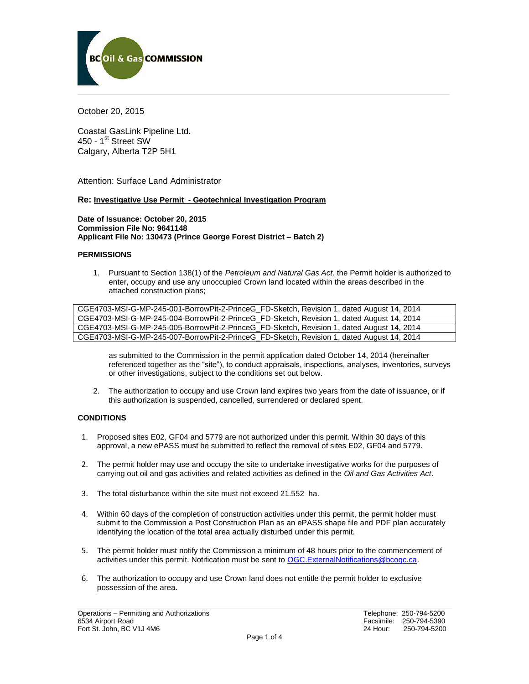

October 20, 2015

Coastal GasLink Pipeline Ltd. 450 - 1<sup>st</sup> Street SW Calgary, Alberta T2P 5H1

Attention: Surface Land Administrator

### **Re: Investigative Use Permit - Geotechnical Investigation Program**

**Date of Issuance: October 20, 2015 Commission File No: 9641148 Applicant File No: 130473 (Prince George Forest District – Batch 2)**

#### **PERMISSIONS**

1. Pursuant to Section 138(1) of the *Petroleum and Natural Gas Act,* the Permit holder is authorized to enter, occupy and use any unoccupied Crown land located within the areas described in the attached construction plans;

CGE4703-MSI-G-MP-245-001-BorrowPit-2-PrinceG\_FD-Sketch, Revision 1, dated August 14, 2014 CGE4703-MSI-G-MP-245-004-BorrowPit-2-PrinceG\_FD-Sketch, Revision 1, dated August 14, 2014 CGE4703-MSI-G-MP-245-005-BorrowPit-2-PrinceG\_FD-Sketch, Revision 1, dated August 14, 2014 CGE4703-MSI-G-MP-245-007-BorrowPit-2-PrinceG\_FD-Sketch, Revision 1, dated August 14, 2014

as submitted to the Commission in the permit application dated October 14, 2014 (hereinafter referenced together as the "site"), to conduct appraisals, inspections, analyses, inventories, surveys or other investigations, subject to the conditions set out below.

2. The authorization to occupy and use Crown land expires two years from the date of issuance, or if this authorization is suspended, cancelled, surrendered or declared spent.

## **CONDITIONS**

- 1. Proposed sites E02, GF04 and 5779 are not authorized under this permit. Within 30 days of this approval, a new ePASS must be submitted to reflect the removal of sites E02, GF04 and 5779.
- 2. The permit holder may use and occupy the site to undertake investigative works for the purposes of carrying out oil and gas activities and related activities as defined in the *Oil and Gas Activities Act*.
- 3. The total disturbance within the site must not exceed 21.552 ha.
- 4. Within 60 days of the completion of construction activities under this permit, the permit holder must submit to the Commission a Post Construction Plan as an ePASS shape file and PDF plan accurately identifying the location of the total area actually disturbed under this permit.
- 5. The permit holder must notify the Commission a minimum of 48 hours prior to the commencement of activities under this permit. Notification must be sent to [OGC.ExternalNotifications@bcogc.ca.](mailto:OGC.ExternalNotifications@bcogc.ca)
- 6. The authorization to occupy and use Crown land does not entitle the permit holder to exclusive possession of the area.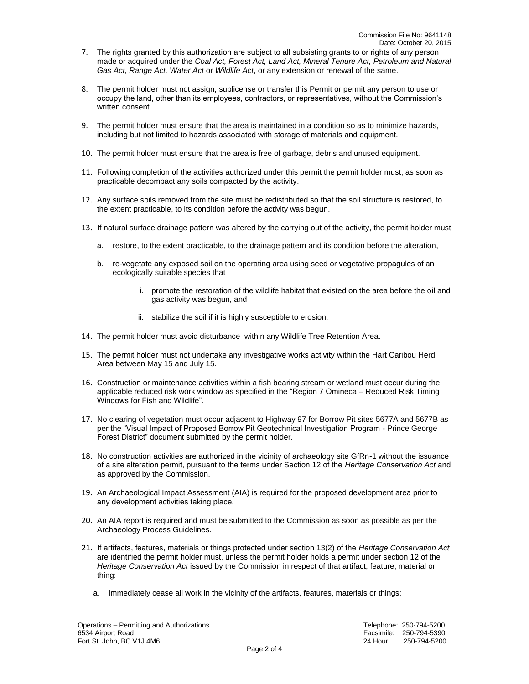- 7. The rights granted by this authorization are subject to all subsisting grants to or rights of any person made or acquired under the *Coal Act, Forest Act, Land Act, Mineral Tenure Act, Petroleum and Natural Gas Act, Range Act, Water Act* or *Wildlife Act*, or any extension or renewal of the same.
- 8. The permit holder must not assign, sublicense or transfer this Permit or permit any person to use or occupy the land, other than its employees, contractors, or representatives, without the Commission's written consent.
- 9. The permit holder must ensure that the area is maintained in a condition so as to minimize hazards, including but not limited to hazards associated with storage of materials and equipment.
- 10. The permit holder must ensure that the area is free of garbage, debris and unused equipment.
- 11. Following completion of the activities authorized under this permit the permit holder must, as soon as practicable decompact any soils compacted by the activity.
- 12. Any surface soils removed from the site must be redistributed so that the soil structure is restored, to the extent practicable, to its condition before the activity was begun.
- 13. If natural surface drainage pattern was altered by the carrying out of the activity, the permit holder must
	- a. restore, to the extent practicable, to the drainage pattern and its condition before the alteration,
	- b. re-vegetate any exposed soil on the operating area using seed or vegetative propagules of an ecologically suitable species that
		- i. promote the restoration of the wildlife habitat that existed on the area before the oil and gas activity was begun, and
		- ii. stabilize the soil if it is highly susceptible to erosion.
- 14. The permit holder must avoid disturbance within any Wildlife Tree Retention Area.
- 15. The permit holder must not undertake any investigative works activity within the Hart Caribou Herd Area between May 15 and July 15.
- 16. Construction or maintenance activities within a fish bearing stream or wetland must occur during the applicable reduced risk work window as specified in the "Region 7 Omineca – Reduced Risk Timing Windows for Fish and Wildlife".
- 17. No clearing of vegetation must occur adjacent to Highway 97 for Borrow Pit sites 5677A and 5677B as per the "Visual Impact of Proposed Borrow Pit Geotechnical Investigation Program - Prince George Forest District" document submitted by the permit holder.
- 18. No construction activities are authorized in the vicinity of archaeology site GfRn-1 without the issuance of a site alteration permit, pursuant to the terms under Section 12 of the *Heritage Conservation Act* and as approved by the Commission.
- 19. An Archaeological Impact Assessment (AIA) is required for the proposed development area prior to any development activities taking place.
- 20. An AIA report is required and must be submitted to the Commission as soon as possible as per the Archaeology Process Guidelines.
- 21. If artifacts, features, materials or things protected under section 13(2) of the *Heritage Conservation Act* are identified the permit holder must, unless the permit holder holds a permit under section 12 of the *Heritage Conservation Act* issued by the Commission in respect of that artifact, feature, material or thing:
	- a. immediately cease all work in the vicinity of the artifacts, features, materials or things;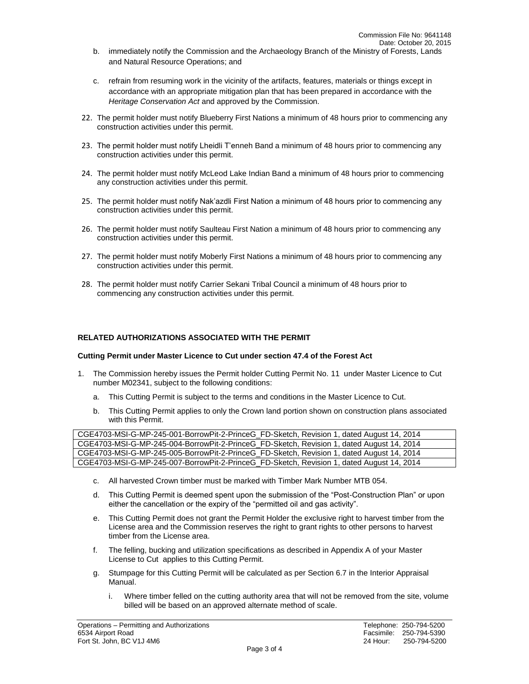- b. immediately notify the Commission and the Archaeology Branch of the Ministry of Forests, Lands and Natural Resource Operations; and
- c. refrain from resuming work in the vicinity of the artifacts, features, materials or things except in accordance with an appropriate mitigation plan that has been prepared in accordance with the *Heritage Conservation Act* and approved by the Commission.
- 22. The permit holder must notify Blueberry First Nations a minimum of 48 hours prior to commencing any construction activities under this permit.
- 23. The permit holder must notify Lheidli T'enneh Band a minimum of 48 hours prior to commencing any construction activities under this permit.
- 24. The permit holder must notify McLeod Lake Indian Band a minimum of 48 hours prior to commencing any construction activities under this permit.
- 25. The permit holder must notify Nak'azdli First Nation a minimum of 48 hours prior to commencing any construction activities under this permit.
- 26. The permit holder must notify Saulteau First Nation a minimum of 48 hours prior to commencing any construction activities under this permit.
- 27. The permit holder must notify Moberly First Nations a minimum of 48 hours prior to commencing any construction activities under this permit.
- 28. The permit holder must notify Carrier Sekani Tribal Council a minimum of 48 hours prior to commencing any construction activities under this permit.

# **RELATED AUTHORIZATIONS ASSOCIATED WITH THE PERMIT**

### **Cutting Permit under Master Licence to Cut under section 47.4 of the Forest Act**

- 1. The Commission hereby issues the Permit holder Cutting Permit No. 11 under Master Licence to Cut number M02341, subject to the following conditions:
	- a. This Cutting Permit is subject to the terms and conditions in the Master Licence to Cut.
	- b. This Cutting Permit applies to only the Crown land portion shown on construction plans associated with this Permit.

| CGE4703-MSI-G-MP-245-001-BorrowPit-2-PrinceG_FD-Sketch, Revision 1, dated August 14, 2014 |
|-------------------------------------------------------------------------------------------|
| CGE4703-MSI-G-MP-245-004-BorrowPit-2-PrinceG_FD-Sketch, Revision 1, dated August 14, 2014 |
| CGE4703-MSI-G-MP-245-005-BorrowPit-2-PrinceG_FD-Sketch, Revision 1, dated August 14, 2014 |
| CGE4703-MSI-G-MP-245-007-BorrowPit-2-PrinceG_FD-Sketch, Revision 1, dated August 14, 2014 |

- c. All harvested Crown timber must be marked with Timber Mark Number MTB 054.
- d. This Cutting Permit is deemed spent upon the submission of the "Post-Construction Plan" or upon either the cancellation or the expiry of the "permitted oil and gas activity".
- e. This Cutting Permit does not grant the Permit Holder the exclusive right to harvest timber from the License area and the Commission reserves the right to grant rights to other persons to harvest timber from the License area.
- f. The felling, bucking and utilization specifications as described in Appendix A of your Master License to Cut applies to this Cutting Permit.
- g. Stumpage for this Cutting Permit will be calculated as per Section 6.7 in the Interior Appraisal Manual.
	- i. Where timber felled on the cutting authority area that will not be removed from the site, volume billed will be based on an approved alternate method of scale.